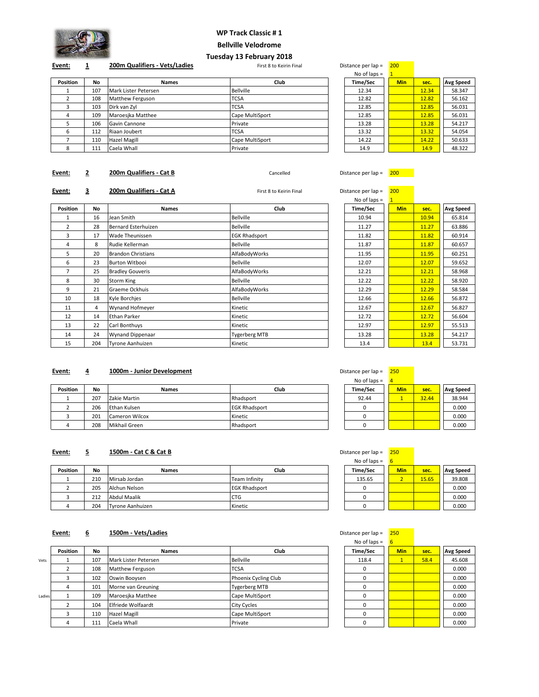

#### **WP Track Classic # 1**

**Bellville Velodrome**

**Event: 1 200m Qualifiers - Vets/Ladies First 8 to Keirin Final** Distance per lap = 200

# **Tuesday 13 February 2018**

#### **Position No Names Club Time/Sec Min sec. seconds Avg Speed** 1 107 Mark Lister Petersen Bellville 2 108 Matthew Ferguson TCSA 3 103 Dirk van Zyl TCSA 12.85 12.85 56.031 4 109 Maroesjka Matthee Cape MultiSport 5 106 Gavin Cannone Private 13.28 13.28 54.217 6 112 Riaan Joubert TCSA 13.32 13.32 54.054 7 110 Hazel Magill Cape MultiSport 14.22 14.22 50.633 8 111 Caela Whall Private 14.9 14.9 48.322

| istance per iap – | zw         |       |                  |
|-------------------|------------|-------|------------------|
| No of laps $=$    | 1          |       |                  |
| Time/Sec          | <b>Min</b> | sec.  | <b>Avg Speed</b> |
| 12.34             |            | 12.34 | 58.347           |
| 12.82             |            | 12.82 | 56.162           |
| 12.85             |            | 12.85 | 56.031           |
| 12.85             |            | 12.85 | 56.031           |
| 13.28             |            | 13.28 | 54.217           |
| 13.32             |            | 13.32 | 54.054           |
| 14.22             |            | 14.22 | 50.633           |
| 14.9              |            | 14.9  | 48.322           |

# **Event: 2 200m Qualifiers - Cat B** Cancelled Cancelled Distance per lap = 200

#### **Event: 3 200m Qualifiers - Cat A Exercise Case A** First 8 to Keirin Final **Distance per lap = 200**

|                 |           |                           |                      | No of laps $=$ |            |       |                  |
|-----------------|-----------|---------------------------|----------------------|----------------|------------|-------|------------------|
| <b>Position</b> | <b>No</b> | <b>Names</b>              | Club                 | Time/Sec       | <b>Min</b> | sec.  | <b>Avg Speed</b> |
| 1               | 16        | Jean Smith                | <b>Bellville</b>     | 10.94          |            | 10.94 | 65.814           |
| $\overline{2}$  | 28        | Bernard Esterhuizen       | <b>Bellville</b>     | 11.27          |            | 11.27 | 63.886           |
| 3               | 17        | Wade Theunissen           | <b>EGK Rhadsport</b> | 11.82          |            | 11.82 | 60.914           |
| 4               | 8         | Rudie Kellerman           | <b>Bellville</b>     | 11.87          |            | 11.87 | 60.657           |
| 5               | 20        | <b>Brandon Christians</b> | AlfaBodyWorks        | 11.95          |            | 11.95 | 60.251           |
| 6               | 23        | <b>Burton Witbooi</b>     | <b>Bellville</b>     | 12.07          |            | 12.07 | 59.652           |
| $\overline{7}$  | 25        | <b>Bradley Gouveris</b>   | AlfaBodyWorks        | 12.21          |            | 12.21 | 58.968           |
| 8               | 30        | Storm King                | <b>Bellville</b>     | 12.22          |            | 12.22 | 58.920           |
| 9               | 21        | Graeme Ockhuis            | AlfaBodyWorks        | 12.29          |            | 12.29 | 58.584           |
| 10              | 18        | Kyle Borchies             | <b>Bellville</b>     | 12.66          |            | 12.66 | 56.872           |
| 11              | 4         | Wynand Hofmeyer           | Kinetic              | 12.67          |            | 12.67 | 56.827           |
| 12              | 14        | Ethan Parker              | Kinetic              | 12.72          |            | 12.72 | 56.604           |
| 13              | 22        | Carl Bonthuys             | Kinetic              | 12.97          |            | 12.97 | 55.513           |
| 14              | 24        | <b>Wynand Dippenaar</b>   | <b>Tygerberg MTB</b> | 13.28          |            | 13.28 | 54.217           |
| 15              | 204       | Tyrone Aanhuizen          | Kinetic              | 13.4           |            | 13.4  | 53.731           |

| No of laps $=$ | $\overline{1}$ |       |           |
|----------------|----------------|-------|-----------|
| Time/Sec       | <b>Min</b>     | sec.  | Avg Speed |
| 10.94          |                | 10.94 | 65.814    |
| 11.27          |                | 11.27 | 63.886    |
| 11.82          |                | 11.82 | 60.914    |
| 11.87          |                | 11.87 | 60.657    |
| 11.95          |                | 11.95 | 60.251    |
| 12.07          |                | 12.07 | 59.652    |
| 12.21          |                | 12.21 | 58.968    |
| 12.22          |                | 12.22 | 58.920    |
| 12.29          |                | 12.29 | 58.584    |
| 12.66          |                | 12.66 | 56.872    |
| 12.67          |                | 12.67 | 56.827    |
| 12.72          |                | 12.72 | 56.604    |
| 12.97          |                | 12.97 | 55.513    |
| 13.28          |                | 13.28 | 54.217    |
| 13.4           |                | 13.4  | 53.731    |

#### **Event: 4 1000m - Junior Development Distance per lap = 250 Distance per lap = 250**

|                 |     |                |                      | $NU$ UI IdDS $-$ |            |       |                  |
|-----------------|-----|----------------|----------------------|------------------|------------|-------|------------------|
| <b>Position</b> | No  | <b>Names</b>   | Club                 | Time/Sec         | <b>Min</b> | sec.  | <b>Avg Speed</b> |
|                 | 207 | Zakie Martin   | Rhadsport            | 92.44            |            | 32.44 | 38.944           |
|                 | 206 | Ethan Kulsen   | <b>EGK Rhadsport</b> |                  |            |       | 0.000            |
|                 | 201 | Cameron Wilcox | Kinetic              |                  |            |       | 0.000            |
|                 | 208 | Mikhail Green  | Rhadsport            |                  |            |       | 0.000            |

# No of laps = 4

# **Event: 5 1500m - Cat C & Cat B Distance per lap = 250 Distance per lap = 250**

|                 |     |                  |                      | - נשוטו וטיטו |            |       |                  |
|-----------------|-----|------------------|----------------------|---------------|------------|-------|------------------|
| <b>Position</b> | No  | <b>Names</b>     | Club                 | Time/Sec      | <b>Min</b> | sec.  | <b>Avg Speed</b> |
|                 | 210 | Mirsab Jordan    | Team Infinity        | 135.65        |            | 15.65 | 39.808           |
|                 | 205 | Alchun Nelson    | <b>EGK Rhadsport</b> |               |            |       | 0.000            |
|                 | 212 | Abdul Maalik     | <b>CTG</b>           |               |            |       | 0.000            |
|                 | 204 | Tvrone Aanhuizen | Kinetic              |               |            |       | 0.000            |

## **Event: 6 1500m - Vets/Ladies Distance per lap = 250**

|        |                 |     |                      |                      | . . <b>. .</b> . |            |      |                  |
|--------|-----------------|-----|----------------------|----------------------|------------------|------------|------|------------------|
|        | <b>Position</b> | No  | <b>Names</b>         | Club                 | Time/Sec         | <b>Min</b> | sec. | <b>Avg Speed</b> |
| Vets   |                 | 107 | Mark Lister Petersen | <b>Bellville</b>     | 118.4            |            | 58.4 | 45.608           |
|        |                 | 108 | Matthew Ferguson     | <b>TCSA</b>          |                  |            |      | 0.000            |
|        |                 | 102 | Oswin Booysen        | Phoenix Cycling Club |                  |            |      | 0.000            |
|        |                 | 101 | Morne van Greuning   | <b>Tygerberg MTB</b> |                  |            |      | 0.000            |
| Ladies |                 | 109 | Maroesika Matthee    | Cape MultiSport      |                  |            |      | 0.000            |
|        |                 | 104 | Elfriede Wolfaardt   | City Cycles          |                  |            |      | 0.000            |
|        |                 | 110 | Hazel Magill         | Cape MultiSport      |                  |            |      | 0.000            |
|        |                 | 111 | Caela Whall          | Private              |                  |            |      | 0.000            |
|        |                 |     |                      |                      |                  |            |      |                  |

| istance per iap = | ∪כ∠        |       |                  |
|-------------------|------------|-------|------------------|
| No of laps $=$    | 6          |       |                  |
| Time/Sec          | <b>Min</b> | sec.  | <b>Avg Speed</b> |
| 135.65            |            | 15.65 | 39.808           |
|                   |            |       | 0.000            |
|                   |            |       | 0.000            |
|                   |            |       | 0.000            |

| No of laps $=$ | 6            |      |                  |
|----------------|--------------|------|------------------|
| Time/Sec       | <b>Min</b>   | sec. | <b>Avg Speed</b> |
| 118.4          | $\mathbf{1}$ | 58.4 | 45.608           |
|                |              |      | 0.000            |
| ŋ              |              |      | 0.000            |
| 0              |              |      | 0.000            |
| 0              |              |      | 0.000            |
| ŋ              |              |      | 0.000            |
| ŋ              |              |      | 0.000            |
|                |              |      | 0.000            |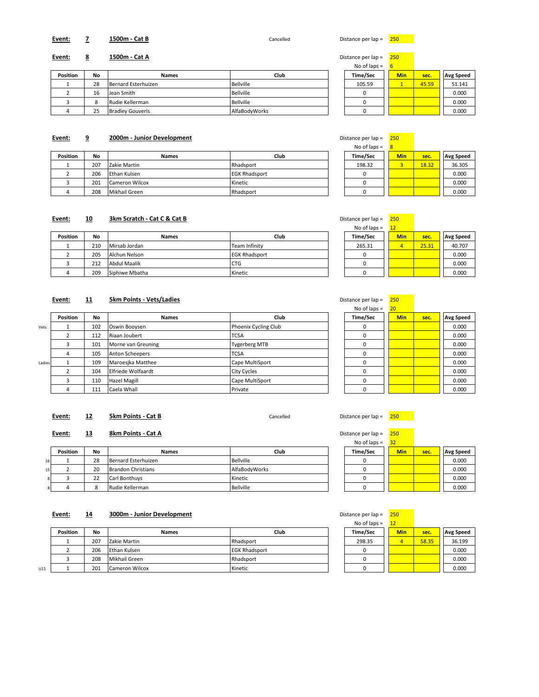## **Event: 7 1500m - Cat B** Cancelled Distance per lap = 250

#### **Event: 8 1500m - Cat A** Distance per lap = 250

| <b>Position</b> | No | <b>Names</b>            | Club             | Time/Sec | <b>Min</b> | sec.  | <b>Avg Speed</b> |
|-----------------|----|-------------------------|------------------|----------|------------|-------|------------------|
|                 | 28 | Bernard Esterhuizen     | <b>Bellville</b> | 105.59   |            | 45.59 | 51.141           |
|                 | 16 | Jean Smith              | Bellville        |          |            |       | 0.000            |
|                 |    | Rudie Kellerman         | Bellville        |          |            |       | 0.000            |
|                 | 25 | <b>Bradley Gouveris</b> | AlfaBodvWorks    |          |            |       | 0.000            |

#### **Event: 9 2000m - Junior Development**

|          |     |                |                      | - נעוסו וטישו |            |       |                  |
|----------|-----|----------------|----------------------|---------------|------------|-------|------------------|
| Position | No  | <b>Names</b>   | Club                 | Time/Sec      | <b>Min</b> | sec.  | <b>Avg Speed</b> |
|          | 207 | Zakie Martin   | Rhadsport            | 198.32        |            | 18.32 | 36.305           |
|          | 206 | Ethan Kulsen   | <b>EGK Rhadsport</b> |               |            |       | 0.000            |
|          | 201 | Cameron Wilcox | Kinetic              |               |            |       | 0.000            |
|          | 208 | Mikhail Green  | Rhadsport            |               |            |       | 0.000            |

#### **Event: 10 3km Scratch - Cat C & Cat B Distance per lap = 250 cm Distance per la per la per la per la per la per la per la per la per la per la per la per la per la per la per la per la per la per la per la per la**

|                 |     |                     |                      | – כּעוֹסוּ וְטְ טוּוּ | ᆠ          |       |                  |
|-----------------|-----|---------------------|----------------------|-----------------------|------------|-------|------------------|
| <b>Position</b> | No  | <b>Names</b>        | Club                 | Time/Sec              | <b>Min</b> | sec.  | <b>Avg Speed</b> |
|                 | 210 | Mirsab Jordan       | Team Infinity        | 265.31                |            | 25.31 | 40.707           |
|                 | 205 | Alchun Nelson       | <b>EGK Rhadsport</b> |                       |            |       | 0.000            |
|                 | 212 | <b>Abdul Maalik</b> | <b>CTG</b>           |                       |            |       | 0.000            |
|                 | 209 | Siphiwe Mbatha      | Kinetic              |                       |            |       | 0.000            |

#### **Event: 11 5km Points - Vets/Ladies Distance per lap = 250 Distance per lap = 250**

|        |                 |     |                    |                      | 0 0 1 10 00 | --         |      |                  |
|--------|-----------------|-----|--------------------|----------------------|-------------|------------|------|------------------|
|        | <b>Position</b> | No  | <b>Names</b>       | <b>Club</b>          | Time/Sec    | <b>Min</b> | sec. | <b>Avg Speed</b> |
| Vets   |                 | 102 | Oswin Booysen      | Phoenix Cycling Club |             |            |      | 0.000            |
|        |                 | 112 | Riaan Joubert      | <b>TCSA</b>          |             |            |      | 0.000            |
|        |                 | 101 | Morne van Greuning | <b>Tygerberg MTB</b> |             |            |      | 0.000            |
|        |                 | 105 | Anton Scheepers    | <b>TCSA</b>          |             |            |      | 0.000            |
| Ladies |                 | 109 | Maroesika Matthee  | Cape MultiSport      |             |            |      | 0.000            |
|        |                 | 104 | Elfriede Wolfaardt | City Cycles          |             |            |      | 0.000            |
|        |                 | 110 | Hazel Magill       | Cape MultiSport      |             |            |      | 0.000            |
|        |                 | 111 | Caela Whall        | Private              |             |            |      | 0.000            |

#### **Event:** 12 **5km Points - Cat B Cancelled** Cancelled Distance per lap =  $\frac{250}{250}$

**Event: 13 8km Points - Cat A Distance per lap = 250 Distance per lap = 250** 

|                |                 |           |                           |               | .        | --         |      |                  |
|----------------|-----------------|-----------|---------------------------|---------------|----------|------------|------|------------------|
|                | <b>Position</b> | <b>No</b> | <b>Names</b>              | Club          | Time/Sec | <b>Min</b> | sec. | <b>Avg Speed</b> |
| 16             |                 | 28        | Bernard Esterhuizen       | Bellville     |          |            |      | 0.000            |
| 15             |                 | 20        | <b>Brandon Christians</b> | AlfaBodvWorks |          |            |      | 0.000            |
| 8 <sup>1</sup> |                 | 22        | Carl Bonthuys             | Kinetic       |          |            |      | 0.000            |
| 8              |                 |           | Rudie Kellerman           | Bellville     |          |            |      | 0.000            |

# **Event:** 14 **3000m - Junior Development Distance per lap = 250 Distance per lap = 250**

|     |                 |     |                       |                      | .        |            |       |                  |
|-----|-----------------|-----|-----------------------|----------------------|----------|------------|-------|------------------|
|     | <b>Position</b> | No  | <b>Names</b>          | Club                 | Time/Sec | <b>Min</b> | sec.  | <b>Avg Speed</b> |
|     |                 | 207 | Zakie Martin          | Rhadsport            | 298.35   |            | 58.35 | 36.199           |
|     |                 | 206 | Ethan Kulsen          | <b>EGK Rhadsport</b> |          |            |       | 0.000            |
|     |                 | 208 | Mikhail Green         | Rhadsport            |          |            |       | 0.000            |
| U11 |                 | 201 | <b>Cameron Wilcox</b> | Kinetic              |          |            |       | 0.000            |

| No of laps $=$ | 6          |       |                  |
|----------------|------------|-------|------------------|
| Time/Sec       | <b>Min</b> | sec.  | <b>Avg Speed</b> |
| 105.59         |            | 45.59 | 51.141           |
|                |            |       | 0.000            |
|                |            |       | 0.000            |
|                |            |       | 0.000            |

| Distance per lap = | 250        |       |                  |
|--------------------|------------|-------|------------------|
| No of laps $=$     | 8          |       |                  |
| Time/Sec           | <b>Min</b> | sec.  | <b>Avg Speed</b> |
| 198.32             |            | 18.32 | 36.305           |
|                    |            |       | 0.000            |
|                    |            |       | 0.000            |
|                    |            |       | 0.000            |

| istance per lap = | 250        |       |                  |
|-------------------|------------|-------|------------------|
| No of laps $=$    | 12         |       |                  |
| Time/Sec          | <b>Min</b> | sec.  | <b>Avg Speed</b> |
| 265.31            |            | 25.31 | 40.707           |
|                   |            |       | 0.000            |
|                   |            |       | 0.000            |
|                   |            |       | 0.000            |

No of laps =  $\sqrt{20}$ 

| 110011000 | --         |      |                  |
|-----------|------------|------|------------------|
| Time/Sec  | <b>Min</b> | sec. | <b>Avg Speed</b> |
| O         |            |      | 0.000            |
| 0         |            |      | 0.000            |
| 0         |            |      | 0.000            |
| 0         |            |      | 0.000            |
| O         |            |      | 0.000            |
| 0         |            |      | 0.000            |
| $\Omega$  |            |      | 0.000            |
|           |            |      | 0.000            |

| istance per lap = | 25O        |      |                  |
|-------------------|------------|------|------------------|
| No of laps $=$    | 32         |      |                  |
| Time/Sec          | <b>Min</b> | sec. | <b>Avg Speed</b> |
|                   |            |      | 0.000            |
|                   |            |      | 0.000            |
|                   |            |      | 0.000            |
|                   |            |      | 0.000            |

| istance per lap = | 250        |       |                  |
|-------------------|------------|-------|------------------|
| No of laps $=$    | 12         |       |                  |
| Time/Sec          | <b>Min</b> | sec.  | <b>Avg Speed</b> |
| 298.35            |            | 58.35 | 36.199           |
| 0                 |            |       | 0.000            |
|                   |            |       | 0.000            |
|                   |            |       | 0.000            |